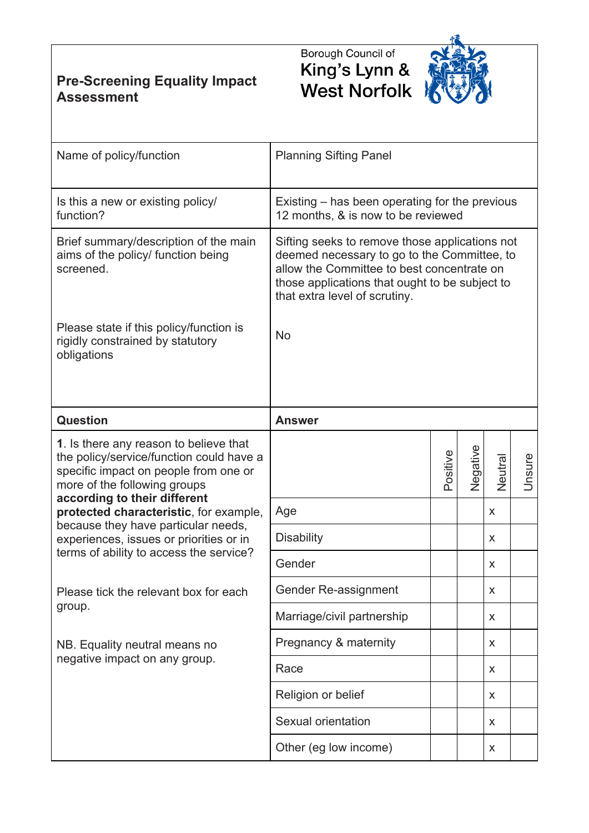**Pre-Screening Equality Impact Assessment**





| Name of policy/function                                                                                                                                                                                                                                                                                                                                            | <b>Planning Sifting Panel</b>                                                                                                                                                                                                  |          |                    |        |               |
|--------------------------------------------------------------------------------------------------------------------------------------------------------------------------------------------------------------------------------------------------------------------------------------------------------------------------------------------------------------------|--------------------------------------------------------------------------------------------------------------------------------------------------------------------------------------------------------------------------------|----------|--------------------|--------|---------------|
| Is this a new or existing policy/<br>function?                                                                                                                                                                                                                                                                                                                     | Existing – has been operating for the previous<br>12 months, & is now to be reviewed                                                                                                                                           |          |                    |        |               |
| Brief summary/description of the main<br>aims of the policy/ function being<br>screened.                                                                                                                                                                                                                                                                           | Sifting seeks to remove those applications not<br>deemed necessary to go to the Committee, to<br>allow the Committee to best concentrate on<br>those applications that ought to be subject to<br>that extra level of scrutiny. |          |                    |        |               |
| Please state if this policy/function is<br>rigidly constrained by statutory<br>obligations                                                                                                                                                                                                                                                                         | <b>No</b>                                                                                                                                                                                                                      |          |                    |        |               |
| Question                                                                                                                                                                                                                                                                                                                                                           | <b>Answer</b>                                                                                                                                                                                                                  |          |                    |        |               |
| 1. Is there any reason to believe that<br>the policy/service/function could have a<br>specific impact on people from one or<br>more of the following groups<br>according to their different<br>protected characteristic, for example,<br>because they have particular needs,<br>experiences, issues or priorities or in<br>terms of ability to access the service? |                                                                                                                                                                                                                                | Positive | Negative           | Neutra | <b>Unsure</b> |
|                                                                                                                                                                                                                                                                                                                                                                    | Age                                                                                                                                                                                                                            |          |                    | X      |               |
|                                                                                                                                                                                                                                                                                                                                                                    | <b>Disability</b>                                                                                                                                                                                                              |          |                    | X      |               |
|                                                                                                                                                                                                                                                                                                                                                                    | Gender                                                                                                                                                                                                                         |          |                    | X      |               |
| Please tick the relevant box for each<br>group.                                                                                                                                                                                                                                                                                                                    | Gender Re-assignment                                                                                                                                                                                                           |          | $\pmb{\mathsf{X}}$ |        |               |
|                                                                                                                                                                                                                                                                                                                                                                    | Marriage/civil partnership                                                                                                                                                                                                     |          |                    | X      |               |
| NB. Equality neutral means no<br>negative impact on any group.                                                                                                                                                                                                                                                                                                     | Pregnancy & maternity                                                                                                                                                                                                          |          |                    | X      |               |
|                                                                                                                                                                                                                                                                                                                                                                    | Race                                                                                                                                                                                                                           | X        |                    |        |               |
|                                                                                                                                                                                                                                                                                                                                                                    | Religion or belief                                                                                                                                                                                                             |          |                    | X      |               |
|                                                                                                                                                                                                                                                                                                                                                                    | Sexual orientation                                                                                                                                                                                                             |          |                    | X      |               |
|                                                                                                                                                                                                                                                                                                                                                                    | Other (eg low income)                                                                                                                                                                                                          |          |                    | X      |               |